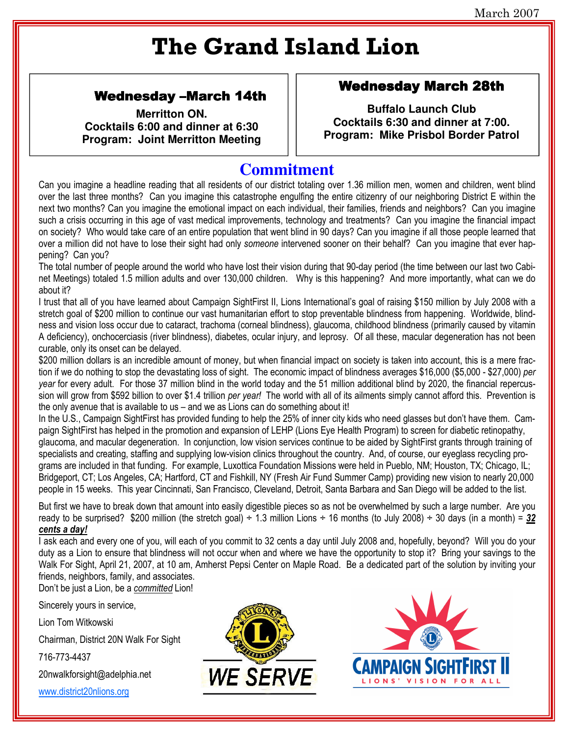# **The Grand Island Lion**

### **Wednesday -March 14th**

**Merritton ON.** Cocktails 6:00 and dinner at 6:30 **Program: Joint Merritton Meeting** 

#### **Wednesday March 28th**

**Buffalo Launch Club** Cocktails 6:30 and dinner at 7:00. Program: Mike Prisbol Border Patrol

## **Commitment**

Can you imagine a headline reading that all residents of our district totaling over 1.36 million men, women and children, went blind over the last three months? Can you imagine this catastrophe engulfing the entire citizenry of our neighboring District E within the next two months? Can you imagine the emotional impact on each individual, their families, friends and neighbors? Can you imagine such a crisis occurring in this age of vast medical improvements, technology and treatments? Can you imagine the financial impact on society? Who would take care of an entire population that went blind in 90 days? Can you imagine if all those people learned that over a million did not have to lose their sight had only someone intervened sooner on their behalf? Can you imagine that ever happening? Can you?

The total number of people around the world who have lost their vision during that 90-day period (the time between our last two Cabinet Meetings) totaled 1.5 million adults and over 130,000 children. Why is this happening? And more importantly, what can we do about it?

I trust that all of you have learned about Campaign SightFirst II, Lions International's goal of raising \$150 million by July 2008 with a stretch goal of \$200 million to continue our vast humanitarian effort to stop preventable blindness from happening. Worldwide, blindness and vision loss occur due to cataract, trachoma (corneal blindness), glaucoma, childhood blindness (primarily caused by vitamin A deficiency), onchocerciasis (river blindness), diabetes, ocular injury, and leprosy. Of all these, macular degeneration has not been curable, only its onset can be delayed.

\$200 million dollars is an incredible amount of money, but when financial impact on society is taken into account, this is a mere fraction if we do nothing to stop the devastating loss of sight. The economic impact of blindness averages \$16,000 (\$5,000 - \$27,000) per year for every adult. For those 37 million blind in the world today and the 51 million additional blind by 2020, the financial repercussion will grow from \$592 billion to over \$1.4 trillion per year! The world with all of its ailments simply cannot afford this. Prevention is the only avenue that is available to us – and we as Lions can do something about it!

In the U.S., Campaign SightFirst has provided funding to help the 25% of inner city kids who need glasses but don't have them. Campaign SightFirst has helped in the promotion and expansion of LEHP (Lions Eye Health Program) to screen for diabetic retinopathy. glaucoma, and macular degeneration. In conjunction, low vision services continue to be aided by SightFirst grants through training of specialists and creating, staffing and supplying low-vision clinics throughout the country. And, of course, our eyeglass recycling programs are included in that funding. For example, Luxottica Foundation Missions were held in Pueblo, NM; Houston, TX; Chicago, IL; Bridgeport, CT; Los Angeles, CA; Hartford, CT and Fishkill, NY (Fresh Air Fund Summer Camp) providing new vision to nearly 20,000 people in 15 weeks. This year Cincinnati, San Francisco, Cleveland, Detroit, Santa Barbara and San Diego will be added to the list.

But first we have to break down that amount into easily digestible pieces so as not be overwhelmed by such a large number. Are you ready to be surprised? \$200 million (the stretch goal)  $\div$  1.3 million Lions  $\div$  16 months (to July 2008)  $\div$  30 days (in a month) = 32 cents a day!

I ask each and every one of you, will each of you commit to 32 cents a day until July 2008 and, hopefully, beyond? Will you do your duty as a Lion to ensure that blindness will not occur when and where we have the opportunity to stop it? Bring your savings to the Walk For Sight, April 21, 2007, at 10 am, Amherst Pepsi Center on Maple Road. Be a dedicated part of the solution by inviting your friends, neighbors, family, and associates.

Don't be just a Lion, be a committed Lion!

Sincerely yours in service,

Lion Tom Witkowski

Chairman, District 20N Walk For Sight

716-773-4437

20nwalkforsight@adelphia.net

www.district20nlions.org



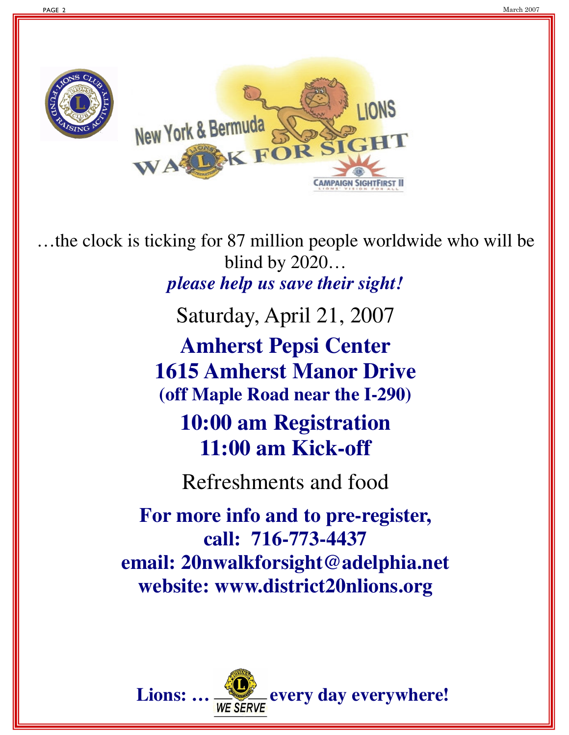



…the clock is ticking for 87 million people worldwide who will be blind by 2020… *please help us save their sight!*

Saturday, April 21, 2007

**Amherst Pepsi Center 1615 Amherst Manor Drive (off Maple Road near the I-290)**

**10:00 am Registration 11:00 am Kick-off**

Refreshments and food

**For more info and to pre-register, call: 716-773-4437 email: 20nwalkforsight@adelphia.net website: www.district20nlions.org**